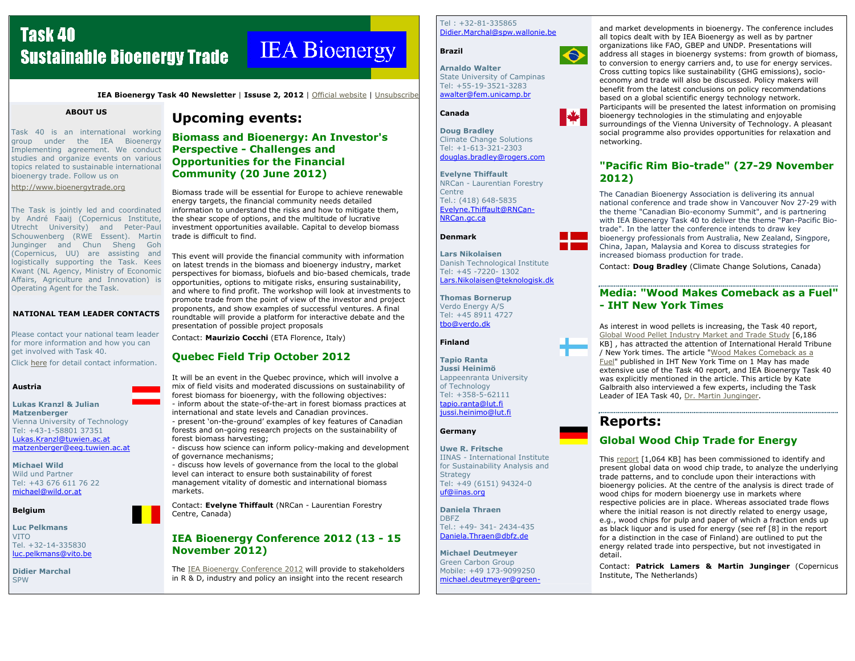# **Task 40 Sustainable Bioenergy Trade**

# **IEA** Bioenergy

IEA Bioenergy Task 40 Newsletter | Issuse 2, 2012 | Official website | Unsubscribe

### ABOUT US

Task 40 is an international working group under the IEA Bioenergy Implementing agreement. We conduct studies and organize events on various topics related to sustainable international bioenergy trade. Follow us on

http://www.bioenergytrade.org

The Task is jointly led and coordinated by André Faaij (Copernicus Institute, Utrecht University) and Peter-Paul Schouwenberg (RWE Essent). Martin Junginger and Chun Sheng Goh (Copernicus, UU) are assisting and logistically supporting the Task. Kees Kwant (NL Agency, Ministry of Economic Affairs, Agriculture and Innovation) is Operating Agent for the Task.

#### NATIONAL TEAM LEADER CONTACTS

Please contact your national team leader for more information and how you can get involved with Task 40.

Click here for detail contact information.

## Austria

#### Lukas Kranzl & Julian **Matzenberger**

 Vienna University of TechnologyTel: +43-1-58801 37351 Lukas.Kranzl@tuwien.ac.atmatzenberger@eeg.tuwien.ac.at

Michael Wild Wild und Partner Tel: +43 676 611 76 22 michael@wild.or.at

## Belgium

Luc PelkmansVITO Tel. +32-14-335830 luc.pelkmans@vito.be

Didier Marchal**SPW** 

# Upcoming events:

Biomass and Bioenergy: An Investor's Perspective - Challenges and Opportunities for the Financial Community (20 June 2012)

Biomass trade will be essential for Europe to achieve renewable energy targets, the financial community needs detailed information to understand the risks and how to mitigate them, the shear scope of options, and the multitude of lucrative investment opportunities available. Capital to develop biomass trade is difficult to find.

This event will provide the financial community with information on latest trends in the biomass and bioenergy industry, market perspectives for biomass, biofuels and bio-based chemicals, trade opportunities, options to mitigate risks, ensuring sustainability, and where to find profit. The workshop will look at investments to promote trade from the point of view of the investor and project proponents, and show examples of successful ventures. A final roundtable will provide a platform for interactive debate and the presentation of possible project proposals

Contact: Maurizio Cocchi (ETA Florence, Italy)

# Quebec Field Trip October 2012

It will be an event in the Quebec province, which will involve a mix of field visits and moderated discussions on sustainability of forest biomass for bioenergy, with the following objectives: - inform about the state-of-the-art in forest biomass practices at

international and state levels and Canadian provinces. - present 'on-the-ground' examples of key features of Canadian

forests and on-going research projects on the sustainability of forest biomass harvesting;

 - discuss how science can inform policy-making and development of governance mechanisms;

 - discuss how levels of governance from the local to the global level can interact to ensure both sustainability of forest management vitality of domestic and international biomass markets.

Contact: Evelyne Thiffault (NRCan - Laurentian Forestry Centre, Canada)

# IEA Bioenergy Conference 2012 (13 - 15November 2012)

The IEA Bioenergy Conference 2012 will provide to stakeholders in R & D, industry and policy an insight into the recent research

 $Tel : +32-81-335865$ Didier.Marchal@spw.wallonie.be



Arnaldo Walter State University of Campinas Tel: +55-19-3521-3283 awalter@fem.unicamp.br

Canada

Brazil

Doug Bradley Climate Change Solutions Tel: +1-613-321-2303 douglas.bradley@rogers.com

Evelyne Thiffault NRCan - Laurentian Forestry Centre Tel.: (418) 648-5835 Evelyne.Thiffault@RNCan-NRCan.gc.ca

Denmark

Lars Nikolaisen Danish Technological Institute Tel: +45 -7220- 1302 Lars.Nikolaisen@teknologisk.dk

Thomas BornerupVerdo Energy A/S Tel: +45 8911 4727 tbo@verdo.dk

Finland

Tapio Ranta Jussi Heinimö Lappeenranta University of Technology Tel: +358-5-62111 tapio.ranta@lut.fijussi.heinimo@lut.fi

#### Germany

Uwe R. Fritsche IINAS - International Institute for Sustainability Analysis and **Strategy**  Tel: +49 (6151) 94324-0 uf@iinas.org

Daniela ThraenDBFZ Tel.: +49- 341- 2434-435 Daniela.Thraen@dbfz.de

Michael Deutmeyer Green Carbon Group Mobile: +49 173-9099250 michael.deutmeyer@greenand market developments in bioenergy. The conference includes<br>all topics dealt with by IEA Bioenergy as well as by partner<br>organizations like FAO, GBEP and UNDP. Presentations will<br>address all stages in bioenergy systems: economy and trade will also be discussed. Policy makers will<br>benefit from the latest conclusions on policy recommendations<br>based on a global scientific energy technology network.<br>Participants will be presented the latest i

# "Pacific Rim Bio-trade" (27-29 November<br>2012)

The Canadian Bioenergy Association is delivering its annual<br>national conference and trade show in Vancouver Nov 27-29 with<br>the theme "Canadian Bio-economy Summit", and is partnering<br>with IEA Bioenergy Task 40 to deliver th bioenergy professionals from Australia, New Zealand, Singpore, China, Japan, Malaysia and Korea to discuss strategies for increased biomass production for trade.<br>Contact: Doug Bradley (Climate Change Solutions, Canada)

# Media: "Wood Makes Comeback as a Fuel" - IHT New York Times

As interest in wood pellets is increasing, the Task 40 report,<br>
Global Wood Pellet Industry Market and Trade Study [6,186<br>
KB], has attracted the attention of International Herald Tribune<br>
/ New York times. The article "W

# Reports:

# Global Wood Chip Trade for Energy

This <u>report</u> [1,064 KB] has been commissioned to identify and<br>present global data on wood chip trade, to analyze the underlying<br>trade patterns, and to conclude upon their interactions with<br>bioenergy policies. At the cent

Contact: Patrick Lamers & Martin Junginger (Copernicus Institute, The Netherlands)